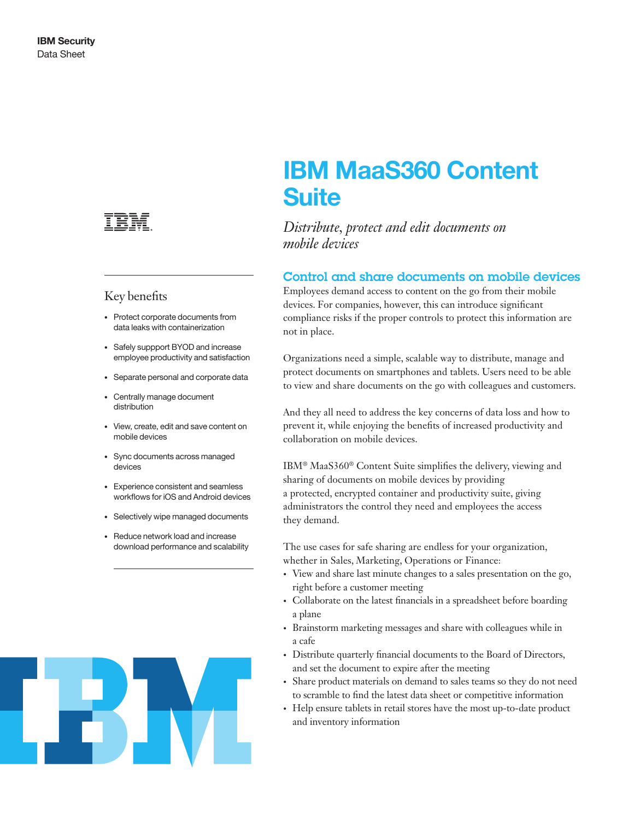

# Key benefits

- Protect corporate documents from data leaks with containerization
- Safely suppport BYOD and increase employee productivity and satisfaction
- Separate personal and corporate data
- Centrally manage document distribution
- View, create, edit and save content on mobile devices
- Sync documents across managed devices
- Experience consistent and seamless workflows for iOS and Android devices
- Selectively wipe managed documents
- Reduce network load and increase download performance and scalability



# IBM MaaS360 Content **Suite**

*Distribute, protect and edit documents on mobile devices* 

## Control and share documents on mobile devices

Employees demand access to content on the go from their mobile devices. For companies, however, this can introduce significant compliance risks if the proper controls to protect this information are not in place.

Organizations need a simple, scalable way to distribute, manage and protect documents on smartphones and tablets. Users need to be able to view and share documents on the go with colleagues and customers.

And they all need to address the key concerns of data loss and how to prevent it, while enjoying the benefits of increased productivity and collaboration on mobile devices.

IBM® MaaS360® Content Suite simplifies the delivery, viewing and sharing of documents on mobile devices by providing a protected, encrypted container and productivity suite, giving administrators the control they need and employees the access they demand.

The use cases for safe sharing are endless for your organization, whether in Sales, Marketing, Operations or Finance:

- View and share last minute changes to a sales presentation on the go, right before a customer meeting
- Collaborate on the latest financials in a spreadsheet before boarding a plane
- Brainstorm marketing messages and share with colleagues while in a cafe
- Distribute quarterly financial documents to the Board of Directors, and set the document to expire after the meeting
- Share product materials on demand to sales teams so they do not need to scramble to find the latest data sheet or competitive information
- Help ensure tablets in retail stores have the most up-to-date product and inventory information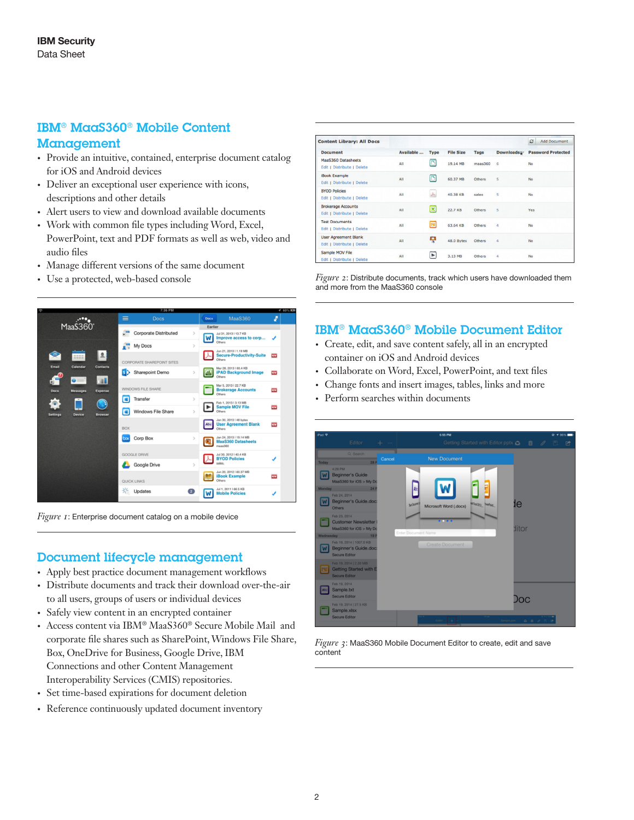# IBM® MaaS360® Mobile Content

### Management

- Provide an intuitive, contained, enterprise document catalog for iOS and Android devices
- Deliver an exceptional user experience with icons, descriptions and other details
- Alert users to view and download available documents
- Work with common file types including Word, Excel, PowerPoint, text and PDF formats as well as web, video and audio files
- Manage different versions of the same document
- Use a protected, web-based console



*Figure 1*: Enterprise document catalog on a mobile device

# Document lifecycle management

- Apply best practice document management workflows
- Distribute documents and track their download over-the-air to all users, groups of users or individual devices
- Safely view content in an encrypted container
- Access content via IBM® MaaS360® Secure Mobile Mail and corporate file shares such as SharePoint, Windows File Share, Box, OneDrive for Business, Google Drive, IBM Connections and other Content Management Interoperability Services (CMIS) repositories.
- Set time-based expirations for document deletion
- Reference continuously updated document inventory

| <b>Content Library: All Docs</b>                          |           |                       |                  |               |                         | ø<br>Add Document         |
|-----------------------------------------------------------|-----------|-----------------------|------------------|---------------|-------------------------|---------------------------|
| <b>Document</b>                                           | Available | <b>Type</b>           | <b>File Size</b> | Tags          | Downloads y             | <b>Password Protected</b> |
| MaaS360 Datasheets<br>Edit   Distribute   Delete          | All       | ō                     | 19.14 MB         | mass360       | 6                       | No                        |
| <b>iBook Example</b><br>Edit   Distribute   Delete        | All       | $\Box$                | 60.37 MB         | <b>Others</b> | $\overline{5}$          | <b>No</b>                 |
| <b>BYOD Policies</b><br>Edit   Distribute   Delete        | All       | ⋏                     | 40.38 KB         | sales         | 5                       | <b>No</b>                 |
| <b>Brokerage Accounts</b><br>Edit   Distribute   Delete   | All       | ×                     | 22.7 KB          | Others        | $\overline{\mathbf{s}}$ | Yes                       |
| <b>Test Documents</b><br>Edit   Distribute   Delete       | All       | 圖                     | 63.64 KB         | <b>Others</b> | 4                       | <b>No</b>                 |
| <b>User Agreement Blank</b><br>Edit   Distribute   Delete | All       | ç                     | 48.0 Bytes       | Others        | 4                       | <b>No</b>                 |
| Sample MOV File<br>Edit   Distribute   Delete             | All       | $\blacktriangleright$ | 3.13 MB          | <b>Others</b> | 4                       | No                        |

*Figure 2*: Distribute documents, track which users have downloaded them and more from the MaaS360 console

# IBM® MaaS360® Mobile Document Editor

- Create, edit, and save content safely, all in an encrypted container on iOS and Android devices
- Collaborate on Word, Excel, PowerPoint, and text files
- Change fonts and insert images, tables, links and more
- Perform searches within documents



*Figure 3*: MaaS360 Mobile Document Editor to create, edit and save content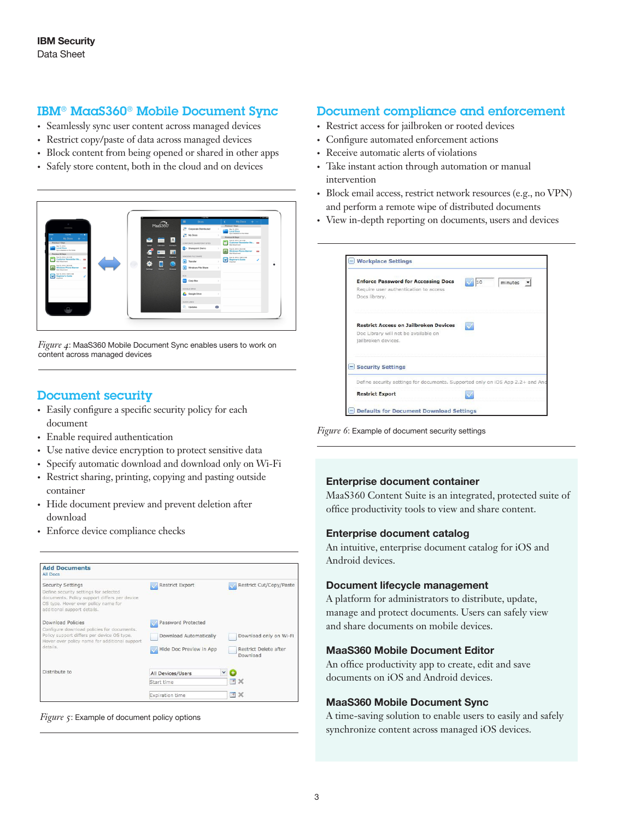# IBM® MaaS360® Mobile Document Sync

- Seamlessly sync user content across managed devices
- Restrict copy/paste of data across managed devices
- Block content from being opened or shared in other apps
- Safely store content, both in the cloud and on devices



*Figure 4*: MaaS360 Mobile Document Sync enables users to work on content across managed devices

## Document security

- Easily configure a specific security policy for each document
- Enable required authentication
- Use native device encryption to protect sensitive data
- Specify automatic download and download only on Wi-Fi
- Restrict sharing, printing, copying and pasting outside container
- Hide document preview and prevent deletion after download
- Enforce device compliance checks

| <b>Add Documents</b><br>All Docs                                                                                                                                                        |                                                                         |              |                                                             |
|-----------------------------------------------------------------------------------------------------------------------------------------------------------------------------------------|-------------------------------------------------------------------------|--------------|-------------------------------------------------------------|
| <b>Security Settings</b><br>Define security settings for selected<br>documents. Policy support differs per device<br>OS type. Hover over policy name for<br>additional support details. | <b>Restrict Export</b>                                                  |              | Restrict Cut/Copy/Paste                                     |
| <b>Download Policies</b><br>Configure download policies for documents.<br>Policy support differs per device OS type.<br>Hover over policy name for additional support<br>details.       | Password Protected<br>Download Automatically<br>Hide Doc Preview in App |              | Download only on Wi-Fi<br>Restrict Delete after<br>Download |
| Distribute to                                                                                                                                                                           | All Devices/Users                                                       | $\checkmark$ |                                                             |
|                                                                                                                                                                                         | Start time                                                              |              | □义                                                          |
|                                                                                                                                                                                         | Expiration time                                                         |              | 同义                                                          |



# Document compliance and enforcement

- Restrict access for jailbroken or rooted devices
- Configure automated enforcement actions
- Receive automatic alerts of violations
- Take instant action through automation or manual intervention
- Block email access, restrict network resources (e.g., no VPN) and perform a remote wipe of distributed documents
- View in-depth reporting on documents, users and devices

| <b>Enforce Password for Accessing Docs</b><br>Require user authentication to access<br>Docs library.        | 10 | minutes |
|-------------------------------------------------------------------------------------------------------------|----|---------|
| <b>Restrict Access on Jailbroken Devices</b><br>Doc Library will not be available on<br>jailbroken devices. |    |         |
| <b>Security Settings</b>                                                                                    |    |         |
| Define security settings for documents. Supported only on iOS App 2.2+ and And                              |    |         |
| <b>Restrict Export</b>                                                                                      |    |         |

*Figure 6*: Example of document security settings

#### Enterprise document container

MaaS360 Content Suite is an integrated, protected suite of office productivity tools to view and share content.

#### Enterprise document catalog

An intuitive, enterprise document catalog for iOS and Android devices.

#### Document lifecycle management

A platform for administrators to distribute, update, manage and protect documents. Users can safely view and share documents on mobile devices.

#### MaaS360 Mobile Document Editor

An office productivity app to create, edit and save documents on iOS and Android devices.

#### MaaS360 Mobile Document Sync

A time-saving solution to enable users to easily and safely synchronize content across managed iOS devices.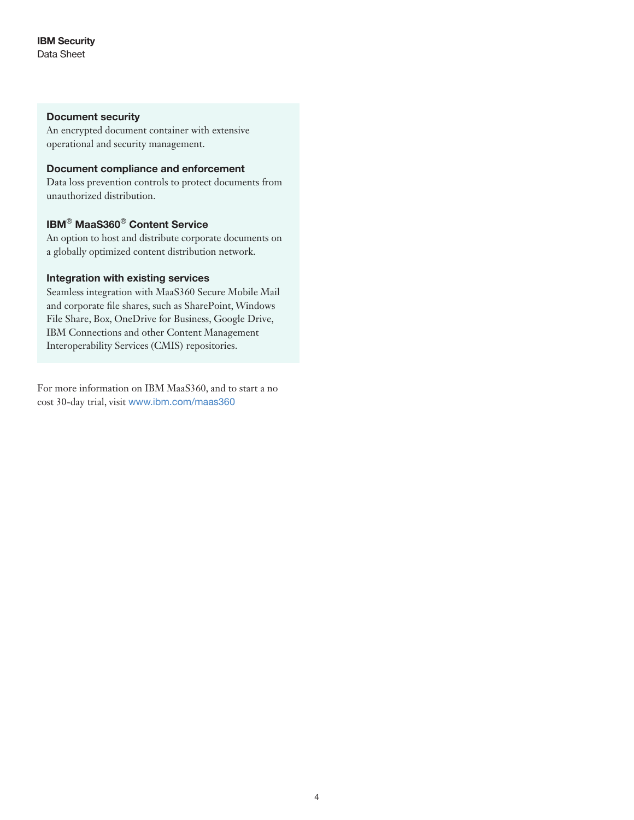#### Document security

An encrypted document container with extensive operational and security management.

#### Document compliance and enforcement

Data loss prevention controls to protect documents from unauthorized distribution.

# IBM® MaaS360® Content Service

An option to host and distribute corporate documents on a globally optimized content distribution network.

#### Integration with existing services

Seamless integration with MaaS360 Secure Mobile Mail and corporate file shares, such as SharePoint, Windows File Share, Box, OneDrive for Business, Google Drive, IBM Connections and other Content Management Interoperability Services (CMIS) repositories.

For more information on IBM MaaS360, and to start a no cost 30-day trial, visit <www.ibm.com/maas360>